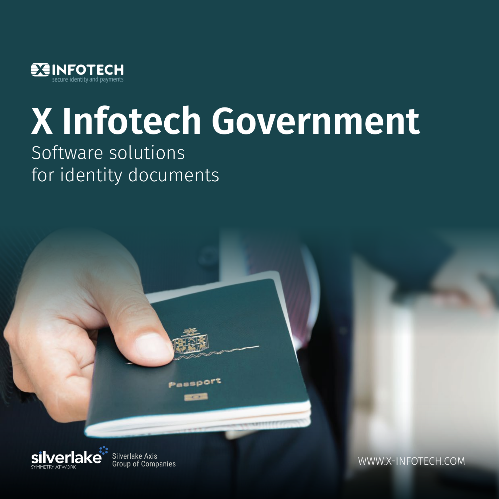

# **X Infotech Government**

## Software solutions for identity documents



Silverlake Axis<br>Group of Companies

Passport

WWW.X-INFOTECH.COM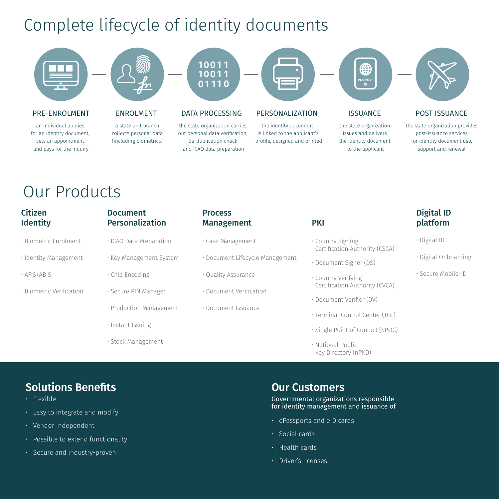## Complete lifecycle of identity documents



## Our Products

| <b>Citizen</b><br><b>Identity</b> | <b>Document</b><br>Personalization | <b>Process</b><br><b>Management</b> | <b>PKI</b>                                            | Digital ID<br>platform |
|-----------------------------------|------------------------------------|-------------------------------------|-------------------------------------------------------|------------------------|
| · Biometric Enrolment             | · ICAO Data Preparation            | · Case Management                   | • Country Signing<br>Certification Authority (CSCA)   | · Digital ID           |
| · Identity Management             | · Key Management System            | • Document Lifecycle Management     | · Document Signer (DS)                                | · Digital Onboarding   |
| $\cdot$ AFIS/ABIS                 | · Chip Encoding                    | • Quality Assurance                 | · Country Verifying<br>Certification Authority (CVCA) | • Secure Mobile-ID     |
| · Biometric Verification          | · Secure PIN Manager               | • Document Verification             |                                                       |                        |
|                                   | • Production Management            | · Document Issuance                 | • Document Verifier (DV)                              |                        |
|                                   |                                    |                                     | · Terminal Control Center (TCC)                       |                        |
|                                   | · Instant Issuing                  |                                     | · Single Point of Contact (SPOC)                      |                        |
|                                   | · Stock Management                 |                                     | • National Public                                     |                        |

## **Solutions Benefits**

- Flexible
- Easy to integrate and modify
- Vendor independent
- Possible to extend functionality
- Secure and industry-proven

## **Our Customers**

Governmental organizations responsible for identity management and issuance of

Key Directory (nPKD)

- ePassports and eID cards
- Social cards
- Health cards
- Driver's licenses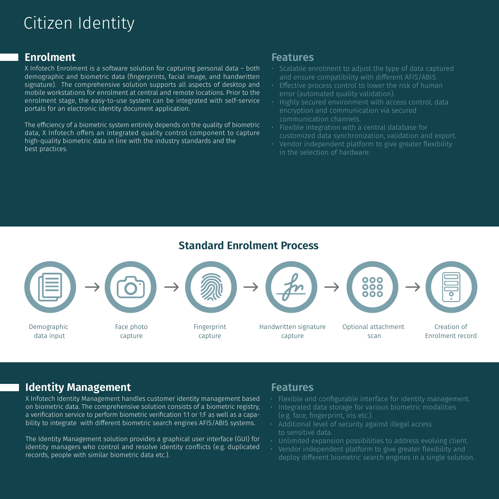## Citizen Identity

## **Enrolment**

X Infotech Enrolment is a sotware solution for capturing personal data – both demographic and biometric data (fingerprints, facial image, and handwritten signature). The comprehensive solution supports all aspects of desktop and mobile workstations for enrolment at central and remote locations. Prior to the enrolment stage, the easy-to-use system can be integrated with self-service portals for an electronic identity document application.

The efficiency of a biometric system entirely depends on the quality of biometric data, X Infotech offers an integrated quality control component to capture high-quality biometric data in line with the industry standards and the best practices.

## **Features**

- Scalable enrolment to adjust the type of data captured and ensure compatibility with different AFIS/ABIS.
- Effective process control to lower the risk of human error (automated quality validation).
- Highly secured environment with access control, data encryption and communication via secured communication channels.
- Flexible integration with a central database for customized data synchronization, validation and export.
- Vendor independent platform to give greater flexibility in the selection of hardware.

## **Standard Enrolment Process**



## **Identity Management**

X Infotech Identity Management handles customer identity management based on biometric data. The comprehensive solution consists of a biometric registry, a verification service to perform biometric verification 1:1 or 1:F as well as a capability to integrate with different biometric search engines AFIS/ABIS systems.

The Identity Management solution provides a graphical user interface (GUI) for identity managers who control and resolve identity conflicts (e.g. duplicated records, people with similar biometric data etc.).

## **Features**

- Flexible and configurable interface for identity management.
- Integrated data storage for various biometric modalities (e.g. face, fingerprint, iris etc.).
- Additional level of security against illegal access to sensitive data.
- Unlimited expansion possibilities to address evolving client.
- Vendor independent platform to give greater flexibility and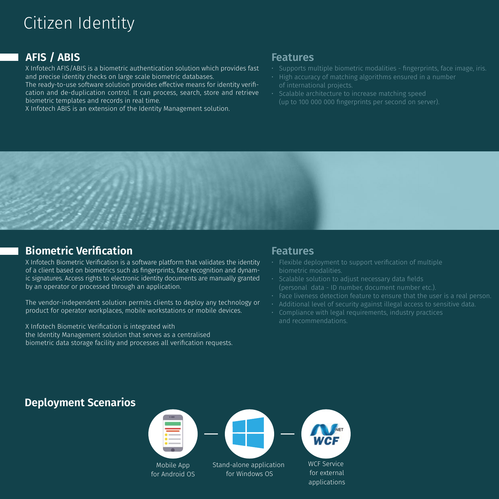## Citizen Identity

## **AFIS / ABIS**

X Infotech AFIS/ABIS is a biometric authentication solution which provides fast and precise identity checks on large scale biometric databases.

The ready-to-use software solution provides effective means for identity verification and de-duplication control. It can process, search, store and retrieve biometric templates and records in real time.

X Infotech ABIS is an extension of the Identity Management solution.

## **Features**

- Supports multiple biometric modalities fingerprints, face image, iris.
- High accuracy of matching algorithms ensured in a number of international projects.
- Scalable architecture to increase matching speed (up to 100 000 000 fingerprints per second on server).



## **Biometric Verification**<br> **Example 20**

X Infotech Biometric Verification is a sotware platform that validates the identity of a client based on biometrics such as fingerprints, face recognition and dynamic signatures. Access rights to electronic identity documents are manually granted by an operator or processed through an application.

The vendor-independent solution permits clients to deploy any technology or product for operator workplaces, mobile workstations or mobile devices.

X Infotech Biometric Verification is integrated with the Identity Management solution that serves as a centralised biometric data storage facility and processes all verification requests.

- Flexible deployment to support verification of multiple
- $\cdot$  Scalable solution to adjust necessary data fields (personal data - ID number, document number etc.).
- Face liveness detection feature to ensure that the user is a real person.
- Additional level of security against illegal access to sensitive data.
- Compliance with legal requirements, industry practices and recommendations.

## **Deployment Scenarios**



for external applications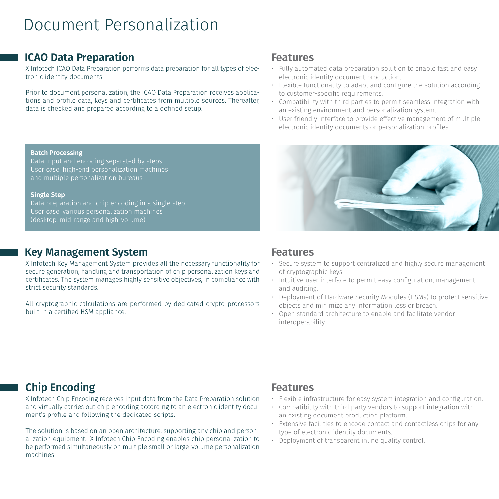## Document Personalization

## **ICAO Data Preparation Features**

X Infotech ICAO Data Preparation performs data preparation for all types of electronic identity documents.

Prior to document personalization, the ICAO Data Preparation receives applications and profile data, keys and certificates from multiple sources. Thereater, data is checked and prepared according to a defined setup.

- Fully automated data preparation solution to enable fast and easy electronic identity document production.
- Flexible functionality to adapt and configure the solution according to customer-specific requirements.
- Compatibility with third parties to permit seamless integration with an existing environment and personalization system.
- User friendly interface to provide effective management of multiple electronic identity documents or personalization profiles.

### **Batch Processing**

Data input and encoding separated by steps User case: high-end personalization machines and multiple personalization bureaus

### **Single Step**

Data preparation and chip encoding in a single step User case: various personalization machines (desktop, mid-range and high-volume)

## **Key Management System Features**

X Infotech Key Management System provides all the necessary functionality for secure generation, handling and transportation of chip personalization keys and certificates. The system manages highly sensitive objectives, in compliance with strict security standards.

All cryptographic calculations are performed by dedicated crypto-processors built in a certified HSM appliance.



- Secure system to support centralized and highly secure management of cryptographic keys.
- Intuitive user interface to permit easy configuration, management and auditing.
- Deployment of Hardware Security Modules (HSMs) to protect sensitive objects and minimize any information loss or breach.
- Open standard architecture to enable and facilitate vendor interoperability.

## **Chip Encoding Features**

X Infotech Chip Encoding receives input data from the Data Preparation solution and virtually carries out chip encoding according to an electronic identity document's profile and following the dedicated scripts.

The solution is based on an open architecture, supporting any chip and personalization equipment. X Infotech Chip Encoding enables chip personalization to be performed simultaneously on multiple small or large-volume personalization machines.

- Flexible infrastructure for easy system integration and configuration.
- Compatibility with third party vendors to support integration with an existing document production platform.
- Extensive facilities to encode contact and contactless chips for any type of electronic identity documents.
- Deployment of transparent inline quality control.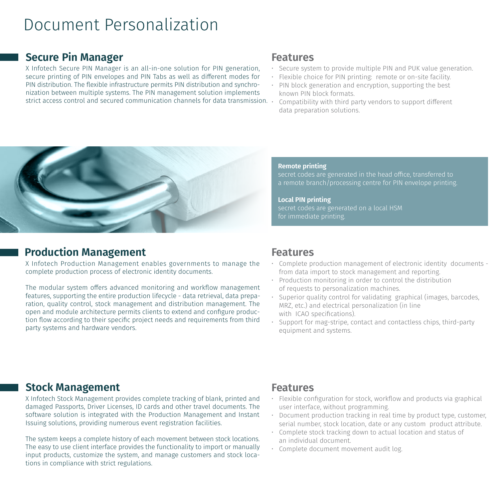## Document Personalization

## **Secure Pin Manager Features**

X Infotech Secure PIN Manager is an all-in-one solution for PIN generation, secure printing of PIN envelopes and PIN Tabs as well as different modes for PIN distribution. The flexible infrastructure permits PIN distribution and synchronization between multiple systems. The PIN management solution implements strict access control and secured communication channels for data transmission.

- Secure system to provide multiple PIN and PUK value generation.
- Flexible choice for PIN printing: remote or on-site facility.
- PIN block generation and encryption, supporting the best known PIN block formats.
- Compatibility with third party vendors to support different data preparation solutions.



## **Production Management Features**

X Infotech Production Management enables governments to manage the complete production process of electronic identity documents.

The modular system offers advanced monitoring and workflow management features, supporting the entire production lifecycle - data retrieval, data preparation, quality control, stock management and distribution management. The open and module architecture permits clients to extend and configure production flow according to their specific project needs and requirements from third party systems and hardware vendors.

### **Remote printing**

secret codes are generated in the head office, transferred to

**Local PIN printing** secret codes are generated on a local HSM

- Complete production management of electronic identity documents from data import to stock management and reporting.
- Production monitoring in order to control the distribution of requests to personalization machines.
- Superior quality control for validating graphical (images, barcodes, MRZ, etc.) and electrical personalization (in line with ICAO specifications).
- Support for mag-stripe, contact and contactless chips, third-party equipment and systems.

## **Stock Management Features**

X Infotech Stock Management provides complete tracking of blank, printed and damaged Passports, Driver Licenses, ID cards and other travel documents. The sotware solution is integrated with the Production Management and Instant Issuing solutions, providing numerous event registration facilities.

The system keeps a complete history of each movement between stock locations. The easy to use client interface provides the functionality to import or manually input products, customize the system, and manage customers and stock locations in compliance with strict regulations.

- Flexible configuration for stock, workflow and products via graphical user interface, without programming.
- Document production tracking in real time by product type, customer, serial number, stock location, date or any custom product attribute.
- Complete stock tracking down to actual location and status of an individual document.
- Complete document movement audit log.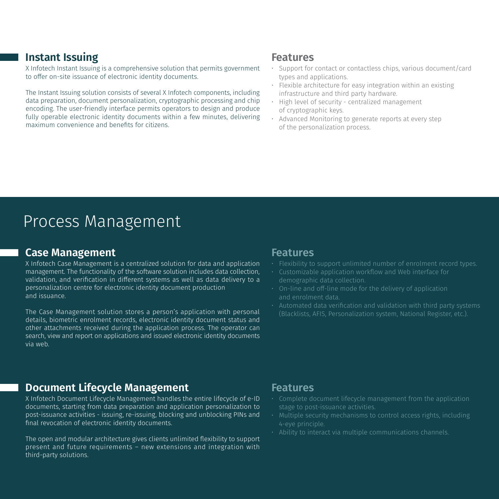## **Instant Issuing**

X Infotech Instant Issuing is a comprehensive solution that permits government to offer on-site issuance of electronic identity documents.

The Instant Issuing solution consists of several X Infotech components, including data preparation, document personalization, cryptographic processing and chip encoding. The user-friendly interface permits operators to design and produce fully operable electronic identity documents within a few minutes, delivering maximum convenience and benefits for citizens.

## **Features**

- Support for contact or contactless chips, various document/card types and applications.
- Flexible architecture for easy integration within an existing infrastructure and third party hardware.
- High level of security centralized management of cryptographic keys.
- Advanced Monitoring to generate reports at every step of the personalization process.

## Process Management

### **Case Management Case Analysis Case Management** Case Teatures

X Infotech Case Management is a centralized solution for data and application management. The functionality of the sotware solution includes data collection, validation, and verification in different systems as well as data delivery to a personalization centre for electronic identity document production and issuance.

The Case Management solution stores a person's application with personal details, biometric enrolment records, electronic identity document status and other attachments received during the application process. The operator can search, view and report on applications and issued electronic identity documents via web.

- Flexibility to support unlimited number of enrolment record types.
- Customizable application workflow and Web interface for demographic data collection.
- and enrolment data.
- Automated data verification and validation with third party systems (Blacklists, AFIS, Personalization system, National Register, etc.).

## **Document Lifecycle Management** Features

X Infotech Document Lifecycle Management handles the entire lifecycle of e-ID documents, starting from data preparation and application personalization to post-issuance activities - issuing, re-issuing, blocking and unblocking PINs and final revocation of electronic identity documents.

The open and modular architecture gives clients unlimited flexibility to support present and future requirements – new extensions and integration with third-party solutions.

- Complete document lifecycle management from the application stage to post-issuance activities.
- Multiple security mechanisms to control access rights, including 4-eye principle.
- Ability to interact via multiple communications channels.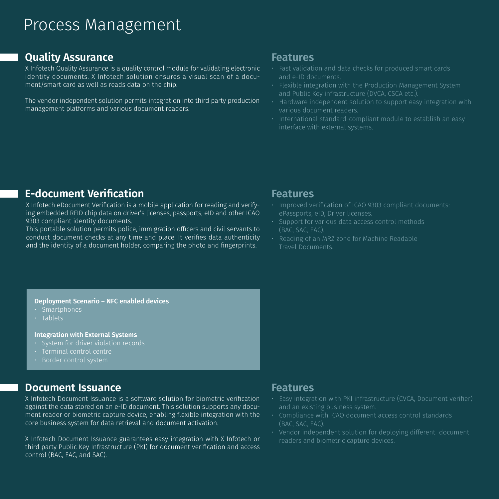## Process Management

## **Quality Assurance** *Cuality Assurance Features*

X Infotech Quality Assurance is a quality control module for validating electronic identity documents. X Infotech solution ensures a visual scan of a document/smart card as well as reads data on the chip.

The vendor independent solution permits integration into third party production management platforms and various document readers.

- Fast validation and data checks for produced smart cards and e-ID documents.
- Flexible integration with the Production Management System and Public Key infrastructure (DVCA, CSCA etc.).
- Hardware independent solution to support easy integration with various document readers.
- International standard-compliant module to establish an easy interface with external systems.

## **E-document Verification Example 20 Features**

X Infotech eDocument Verification is a mobile application for reading and verifying embedded RFID chip data on driver's licenses, passports, eID and other ICAO 9303 compliant identity documents.

This portable solution permits police, immigration officers and civil servants to conduct document checks at any time and place. It verifies data authenticity and the identity of a document holder, comparing the photo and fingerprints.

- Improved verification of ICAO 9303 compliant documents: ePassports, eID, Driver licenses.
- Support for various data access control methods (BAC, SAC, EAC).
- Reading of an MRZ zone for Machine Readable Travel Documents.

### **Deployment Scenario – NFC enabled devices**

- $\overline{\cdot}$  Smartphones
- 

### **Integration with External Systems**

- System for driver violation records
- Terminal control centre
- Border control system

## **Document Issuance** *Features*

X Infotech Document Issuance is a sotware solution for biometric verification against the data stored on an e-ID document. This solution supports any document reader or biometric capture device, enabling flexible integration with the core business system for data retrieval and document activation.

X Infotech Document Issuance guarantees easy integration with X Infotech or third party Public Key Infrastructure (PKI) for document verification and access control (BAC, EAC, and SAC).

- Easy integration with PKI infrastructure (CVCA, Document verifier) and an existing business system.
- Compliance with ICAO document access control standards (BAC, SAC, EAC).
- $\cdot$  Vendor independent solution for deploying different document readers and biometric capture devices.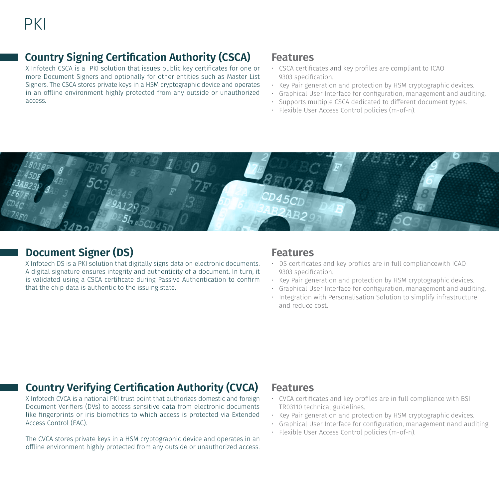## **Country Signing Certification Authority (CSCA) Features**

X Infotech CSCA is a PKI solution that issues public key certificates for one or more Document Signers and optionally for other entities such as Master List Signers. The CSCA stores private keys in a HSM cryptographic device and operates in an offline environment highly protected from any outside or unauthorized access.

- CSCA certificates and key profiles are compliant to ICAO 9303 specification.
- Key Pair generation and protection by HSM cryptographic devices.
- Graphical User Interface for configuration, management and auditing.
- Supports multiple CSCA dedicated to different document types.
- Flexible User Access Control policies (m-of-n).



## **Document Signer (DS)** Features

X Infotech DS is a PKI solution that digitally signs data on electronic documents. A digital signature ensures integrity and authenticity of a document. In turn, it is validated using a CSCA certificate during Passive Authentication to confirm that the chip data is authentic to the issuing state.

- DS certificates and key profiles are in full compliancewith ICAO 9303 specification.
- Key Pair generation and protection by HSM cryptographic devices.
- Graphical User Interface for configuration, management and auditing.
- Integration with Personalisation Solution to simplify infrastructure and reduce cost.

## **Country Verifying Certification Authority (CVCA) Features**

X Infotech CVCA is a national PKI trust point that authorizes domestic and foreign Document Verifiers (DVs) to access sensitive data from electronic documents like fingerprints or iris biometrics to which access is protected via Extended Access Control (EAC).

The CVCA stores private keys in a HSM cryptographic device and operates in an offline environment highly protected from any outside or unauthorized access.

- CVCA certificates and key profiles are in full compliance with BSI TR03110 technical guidelines.
- Key Pair generation and protection by HSM cryptographic devices.
- Graphical User Interface for configuration, management nand auditing.
- Flexible User Access Control policies (m-of-n).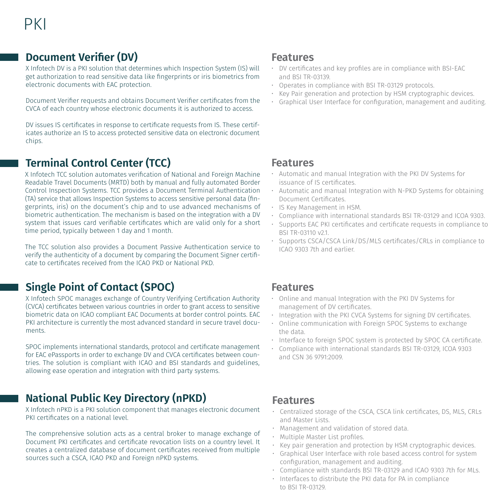## **Document Verifier (DV) Features**

X Infotech DV is a PKI solution that determines which Inspection System (IS) will get authorization to read sensitive data like fingerprints or iris biometrics from electronic documents with EAC protection.

Document Verifier requests and obtains Document Verifier certificates from the CVCA of each country whose electronic documents it is authorized to access.

DV issues IS certificates in response to certificate requests from IS. These certificates authorize an IS to access protected sensitive data on electronic document chips.

## **Terminal Control Center (TCC)**

X Infotech TCC solution automates verification of National and Foreign Machine Readable Travel Documents (MRTD) both by manual and fully automated Border Control Inspection Systems. TCC provides a Document Terminal Authentication (TA) service that allows Inspection Systems to access sensitive personal data (fingerprints, iris) on the document's chip and to use advanced mechanisms of biometric authentication. The mechanism is based on the integration with a DV system that issues card verifiable certificates which are valid only for a short time period, typically between 1 day and 1 month.

The TCC solution also provides a Document Passive Authentication service to verify the authenticity of а document by comparing the Document Signer certificate to certificates received from the ICAO PKD or National PKD.

## **Single Point of Contact (SPOC)**

X Infotech SPOC manages exchange of Country Verifying Certification Authority (CVCA) certificates between various countries in order to grant access to sensitive biometric data on ICAO compliant EAC Documents at border control points. EAC PKI architecture is currently the most advanced standard in secure travel documents.

SPOC implements international standards, protocol and certificate management for EAC ePassports in order to exchange DV and CVCA certificates between countries. The solution is compliant with ICAO and BSI standards and guidelines, allowing ease operation and integration with third party systems.

## **National Public Key Directory (nPKD)**

X Infotech nPKD is a PKI solution component that manages electronic document PKI certificates on a national level.

The comprehensive solution acts as a central broker to manage exchange of Document PKI certificates and certificate revocation lists on a country level. It creates a centralized database of document certificates received from multiple sources such a CSCA, ICAO PKD and Foreign nPKD systems.

- DV certificates and key profiles are in compliance with BSI-EAC and BSI TR-03139.
- Operates in compliance with BSI TR-03129 protocols.
- Key Pair generation and protection by HSM cryptographic devices.
- Graphical User Interface for configuration, management and auditing.

## **Features**

- Automatic and manual Integration with the PKI DV Systems for issuance of IS certificates.
- Automatic and manual Integration with N-PKD Systems for obtaining Document Certificates.
- IS Key Management in HSM.
- Compliance with international standards BSI TR-03129 and ICOA 9303.
- Supports EAC PKI certificates and certificate requests in compliance to BSI TR-03110 v2.1.
- Supports CSCA/CSCA Link/DS/MLS certificates/CRLs in compliance to ICAO 9303 7th and earlier.

## **Features**

- Online and manual Integration with the PKI DV Systems for management of DV certificates.
- Integration with the PKI CVCA Systems for signing DV certificates.
- Online communication with Foreign SPOC Systems to exchange the data.
- Interface to foreign SPOC system is protected by SPOC CA certificate.
- Compliance with international standards BSI TR-03129, ICOA 9303 and CSN 36 9791:2009.

## **Features**

- Centralized storage of the CSCA, CSCA link certificates, DS, MLS, CRLs and Master Lists.
- Management and validation of stored data.
- Multiple Master List profiles.
- Key pair generation and protection by HSM cryptographic devices.
- Graphical User Interface with role based access control for system configuration, management and auditing.
- Compliance with standards BSI TR-03129 and ICAO 9303 7th for MLs.
- Interfaces to distribute the PKI data for PA in compliance to BSI TR-03129.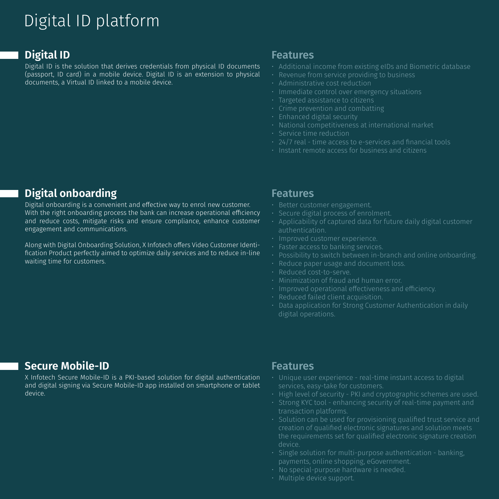## Digital ID platform

## **Digital ID**

Digital ID is the solution that derives credentials from physical ID documents (passport, ID card) in a mobile device. Digital ID is an extension to physical documents, a Virtual ID linked to a mobile device.

### **Features**

- Additional income from existing eIDs and Biometric database
- Revenue from service providing to business
- Administrative cost reduction
- Immediate control over emergency situations
- Targeted assistance to citizens
- $\cdot$  Crime prevention and combatting
- Enhanced digital security
- National competitiveness at international market
- Service time reduction
- $\cdot$  24/7 real time access to e-services and financial tools
- Instant remote access for business and citizens

## **Digital onboarding**

Digital onboarding is a convenient and effective way to enrol new customer. With the right onboarding process the bank can increase operational efficiency and reduce costs, mitigate risks and ensure compliance, enhance customer engagement and communications.

Along with Digital Onboarding Solution, X Infotech offers Video Customer Identification Product perfectly aimed to optimize daily services and to reduce in-line waiting time for customers.

### **Features**

- Better customer engagement.
- Secure digital process of enrolment.
- Applicability of captured data for future daily digital customer authentication.
- Improved customer experience.
- Faster access to banking services.
- Possibility to switch between in-branch and online onboarding.
- Reduce paper usage and document loss.
- Reduced cost-to-serve.
- Minimization of fraud and human error.
- $\cdot$  Improved operational effectiveness and efficiency.
- Reduced failed client acquisition.
- Data application for Strong Customer Authentication in daily digital operations.

## **Secure Mobile-ID**

X Infotech Secure Mobile-ID is a PKI-based solution for digital authentication and digital signing via Secure Mobile-ID app installed on smartphone or tablet device.

## **Features**

- Unique user experience real-time instant access to digital services, easy-take for customers.
- High level of security PKI and cryptographic schemes are used.
- Strong KYC tool enhancing security of real-time payment and transaction platforms.
- Solution can be used for provisioning qualified trust service and creation of qualified electronic signatures and solution meets the requirements set for qualified electronic signature creation device.
- $\cdot$  Single solution for multi-purpose authentication banking, payments, online shopping, eGovernment.
- No special-purpose hardware is needed.
- Multiple device support.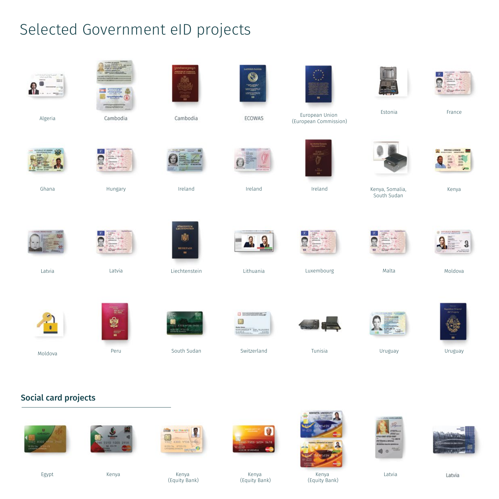## Selected Government eID projects



## Social card projects











Kenya (Equity Bank) Kenya Kenya Latvia







Egypt

Kenya (Equity Bank)

(Equity Bank)

Latvia